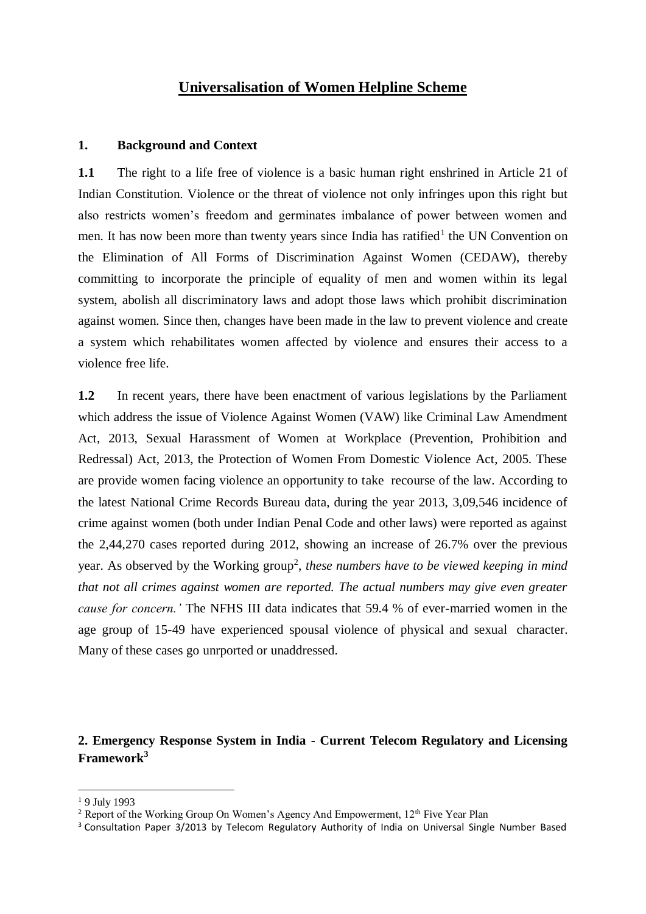# **Universalisation of Women Helpline Scheme**

#### **1. Background and Context**

**1.1** The right to a life free of violence is a basic human right enshrined in Article 21 of Indian Constitution. Violence or the threat of violence not only infringes upon this right but also restricts women's freedom and germinates imbalance of power between women and men. It has now been more than twenty years since India has ratified<sup>1</sup> the UN Convention on the Elimination of All Forms of Discrimination Against Women (CEDAW), thereby committing to incorporate the principle of equality of men and women within its legal system, abolish all discriminatory laws and adopt those laws which prohibit discrimination against women. Since then, changes have been made in the law to prevent violence and create a system which rehabilitates women affected by violence and ensures their access to a violence free life.

**1.2** In recent years, there have been enactment of various legislations by the Parliament which address the issue of Violence Against Women (VAW) like Criminal Law Amendment Act, 2013, Sexual Harassment of Women at Workplace (Prevention, Prohibition and Redressal) Act, 2013, the Protection of Women From Domestic Violence Act, 2005. These are provide women facing violence an opportunity to take recourse of the law. According to the latest National Crime Records Bureau data, during the year 2013, 3,09,546 incidence of crime against women (both under Indian Penal Code and other laws) were reported as against the 2,44,270 cases reported during 2012, showing an increase of 26.7% over the previous year. As observed by the Working group<sup>2</sup>, these numbers have to be viewed keeping in mind *that not all crimes against women are reported. The actual numbers may give even greater cause for concern.'* The NFHS III data indicates that 59.4 % of ever-married women in the age group of 15-49 have experienced spousal violence of physical and sexual character. Many of these cases go unrported or unaddressed.

## **2. Emergency Response System in India - Current Telecom Regulatory and Licensing Framework<sup>3</sup>**

**.** 

<sup>&</sup>lt;sup>1</sup> 9 July 1993

<sup>&</sup>lt;sup>2</sup> Report of the Working Group On Women's Agency And Empowerment,  $12<sup>th</sup>$  Five Year Plan

<sup>&</sup>lt;sup>3</sup> Consultation Paper 3/2013 by Telecom Regulatory Authority of India on Universal Single Number Based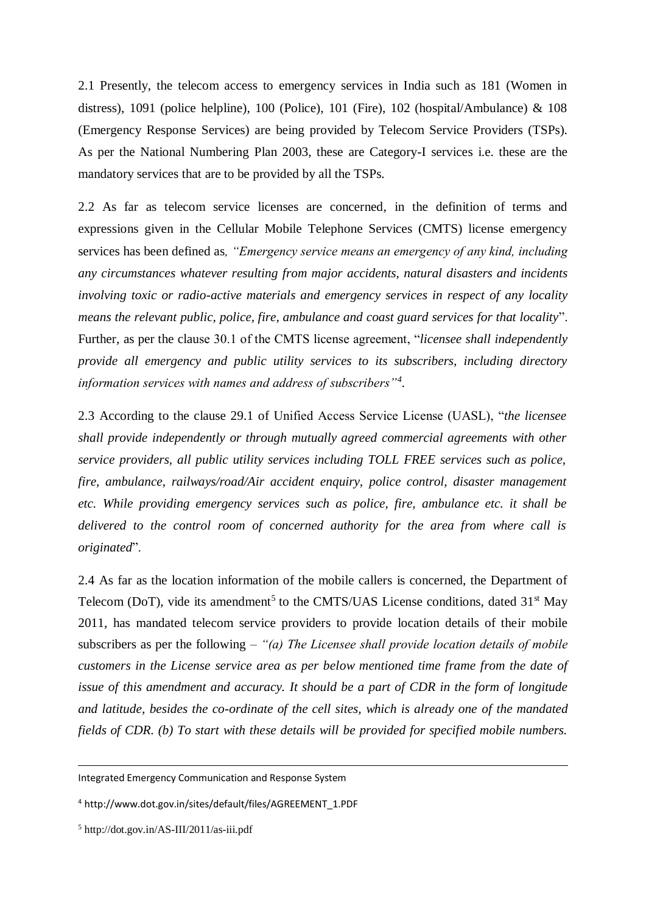2.1 Presently, the telecom access to emergency services in India such as 181 (Women in distress), 1091 (police helpline), 100 (Police), 101 (Fire), 102 (hospital/Ambulance) & 108 (Emergency Response Services) are being provided by Telecom Service Providers (TSPs). As per the National Numbering Plan 2003, these are Category-I services i.e. these are the mandatory services that are to be provided by all the TSPs.

2.2 As far as telecom service licenses are concerned, in the definition of terms and expressions given in the Cellular Mobile Telephone Services (CMTS) license emergency services has been defined as*, "Emergency service means an emergency of any kind, including any circumstances whatever resulting from major accidents, natural disasters and incidents involving toxic or radio-active materials and emergency services in respect of any locality means the relevant public, police, fire, ambulance and coast guard services for that locality*". Further, as per the clause 30.1 of the CMTS license agreement, "*licensee shall independently provide all emergency and public utility services to its subscribers, including directory information services with names and address of subscribers"<sup>4</sup> .*

2.3 According to the clause 29.1 of Unified Access Service License (UASL), "*the licensee shall provide independently or through mutually agreed commercial agreements with other service providers, all public utility services including TOLL FREE services such as police, fire, ambulance, railways/road/Air accident enquiry, police control, disaster management etc. While providing emergency services such as police, fire, ambulance etc. it shall be delivered to the control room of concerned authority for the area from where call is originated*".

2.4 As far as the location information of the mobile callers is concerned, the Department of Telecom (DoT), vide its amendment<sup>5</sup> to the CMTS/UAS License conditions, dated  $31<sup>st</sup>$  May 2011, has mandated telecom service providers to provide location details of their mobile subscribers as per the following – *"(a) The Licensee shall provide location details of mobile customers in the License service area as per below mentioned time frame from the date of issue of this amendment and accuracy. It should be a part of CDR in the form of longitude and latitude, besides the co-ordinate of the cell sites, which is already one of the mandated fields of CDR. (b) To start with these details will be provided for specified mobile numbers.* 

1

Integrated Emergency Communication and Response System

<sup>4</sup> http://www.dot.gov.in/sites/default/files/AGREEMENT\_1.PDF

<sup>5</sup> http://dot.gov.in/AS-III/2011/as-iii.pdf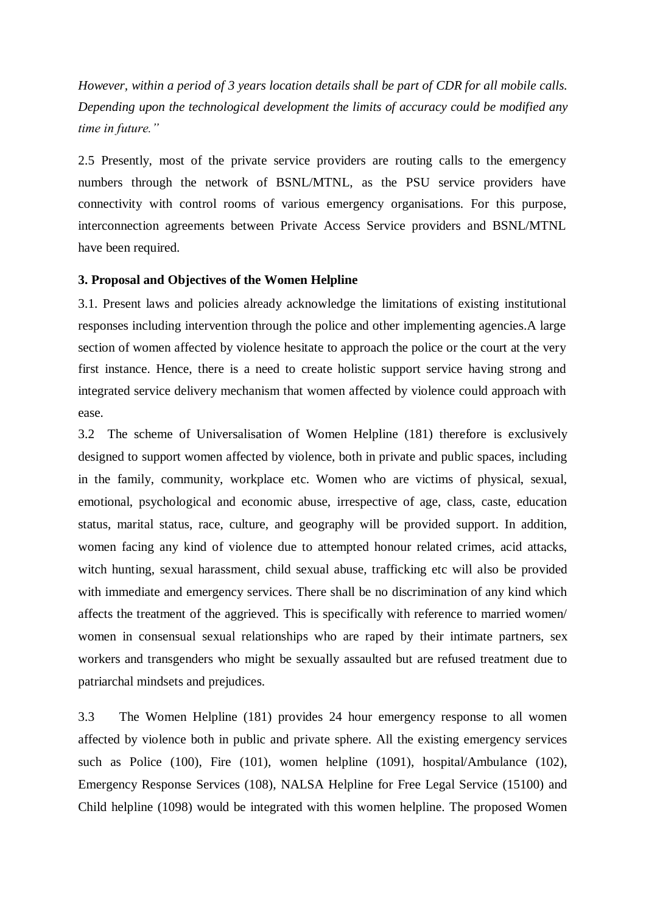*However, within a period of 3 years location details shall be part of CDR for all mobile calls. Depending upon the technological development the limits of accuracy could be modified any time in future."*

2.5 Presently, most of the private service providers are routing calls to the emergency numbers through the network of BSNL/MTNL, as the PSU service providers have connectivity with control rooms of various emergency organisations. For this purpose, interconnection agreements between Private Access Service providers and BSNL/MTNL have been required.

#### **3. Proposal and Objectives of the Women Helpline**

3.1. Present laws and policies already acknowledge the limitations of existing institutional responses including intervention through the police and other implementing agencies.A large section of women affected by violence hesitate to approach the police or the court at the very first instance. Hence, there is a need to create holistic support service having strong and integrated service delivery mechanism that women affected by violence could approach with ease.

3.2 The scheme of Universalisation of Women Helpline (181) therefore is exclusively designed to support women affected by violence, both in private and public spaces, including in the family, community, workplace etc. Women who are victims of physical, sexual, emotional, psychological and economic abuse, irrespective of age, class, caste, education status, marital status, race, culture, and geography will be provided support. In addition, women facing any kind of violence due to attempted honour related crimes, acid attacks, witch hunting, sexual harassment, child sexual abuse, trafficking etc will also be provided with immediate and emergency services. There shall be no discrimination of any kind which affects the treatment of the aggrieved. This is specifically with reference to married women/ women in consensual sexual relationships who are raped by their intimate partners, sex workers and transgenders who might be sexually assaulted but are refused treatment due to patriarchal mindsets and prejudices.

3.3 The Women Helpline (181) provides 24 hour emergency response to all women affected by violence both in public and private sphere. All the existing emergency services such as Police (100), Fire (101), women helpline (1091), hospital/Ambulance (102), Emergency Response Services (108), NALSA Helpline for Free Legal Service (15100) and Child helpline (1098) would be integrated with this women helpline. The proposed Women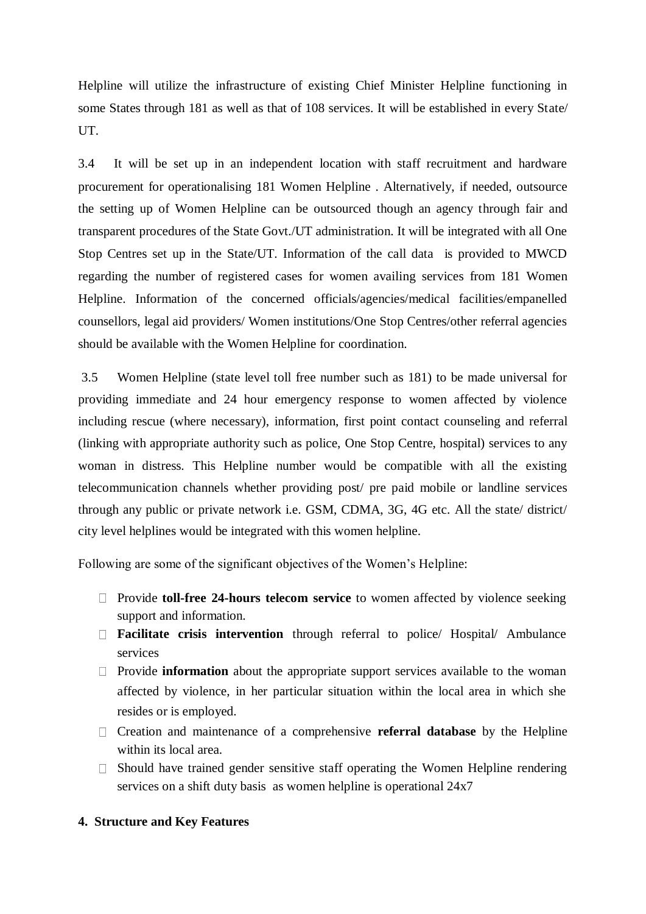Helpline will utilize the infrastructure of existing Chief Minister Helpline functioning in some States through 181 as well as that of 108 services. It will be established in every State/ UT.

3.4 It will be set up in an independent location with staff recruitment and hardware procurement for operationalising 181 Women Helpline . Alternatively, if needed, outsource the setting up of Women Helpline can be outsourced though an agency through fair and transparent procedures of the State Govt./UT administration. It will be integrated with all One Stop Centres set up in the State/UT. Information of the call data is provided to MWCD regarding the number of registered cases for women availing services from 181 Women Helpline. Information of the concerned officials/agencies/medical facilities/empanelled counsellors, legal aid providers/ Women institutions/One Stop Centres/other referral agencies should be available with the Women Helpline for coordination.

3.5 Women Helpline (state level toll free number such as 181) to be made universal for providing immediate and 24 hour emergency response to women affected by violence including rescue (where necessary), information, first point contact counseling and referral (linking with appropriate authority such as police, One Stop Centre, hospital) services to any woman in distress. This Helpline number would be compatible with all the existing telecommunication channels whether providing post/ pre paid mobile or landline services through any public or private network i.e. GSM, CDMA, 3G, 4G etc. All the state/ district/ city level helplines would be integrated with this women helpline.

Following are some of the significant objectives of the Women's Helpline:

- □ Provide **toll-free 24-hours telecom service** to women affected by violence seeking support and information.
- **Facilitate crisis intervention** through referral to police/ Hospital/ Ambulance services
- $\Box$  Provide **information** about the appropriate support services available to the woman affected by violence, in her particular situation within the local area in which she resides or is employed.
- Creation and maintenance of a comprehensive **referral database** by the Helpline within its local area.
- $\Box$  Should have trained gender sensitive staff operating the Women Helpline rendering services on a shift duty basis as women helpline is operational 24x7

#### **4. Structure and Key Features**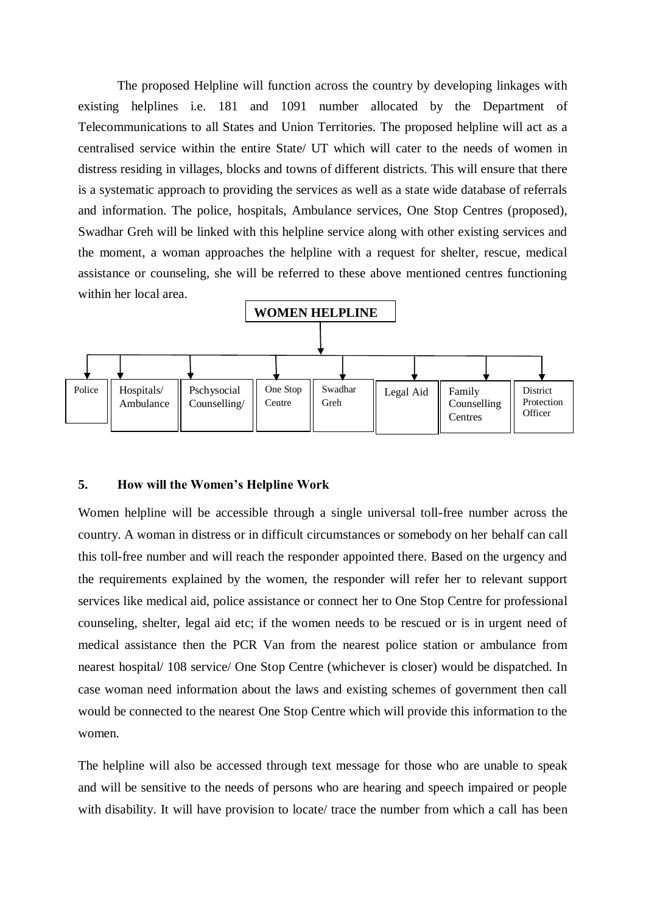The proposed Helpline will function across the country by developing linkages with existing helplines i.e. 181 and 1091 number allocated by the Department of Telecommunications to all States and Union Territories. The proposed helpline will act as a centralised service within the entire State/ UT which will cater to the needs of women in distress residing in villages, blocks and towns of different districts. This will ensure that there is a systematic approach to providing the services as well as a state wide database of referrals and information. The police, hospitals, Ambulance services, One Stop Centres (proposed), Swadhar Greh will be linked with this helpline service along with other existing services and the moment, a woman approaches the helpline with a request for shelter, rescue, medical assistance or counseling, she will be referred to these above mentioned centres functioning within her local area.



#### **5. How will the Women's Helpline Work**

Women helpline will be accessible through a single universal toll-free number across the country. A woman in distress or in difficult circumstances or somebody on her behalf can call this toll-free number and will reach the responder appointed there. Based on the urgency and the requirements explained by the women, the responder will refer her to relevant support services like medical aid, police assistance or connect her to One Stop Centre for professional counseling, shelter, legal aid etc; if the women needs to be rescued or is in urgent need of medical assistance then the PCR Van from the nearest police station or ambulance from nearest hospital/ 108 service/ One Stop Centre (whichever is closer) would be dispatched. In case woman need information about the laws and existing schemes of government then call would be connected to the nearest One Stop Centre which will provide this information to the women.

The helpline will also be accessed through text message for those who are unable to speak and will be sensitive to the needs of persons who are hearing and speech impaired or people with disability. It will have provision to locate/ trace the number from which a call has been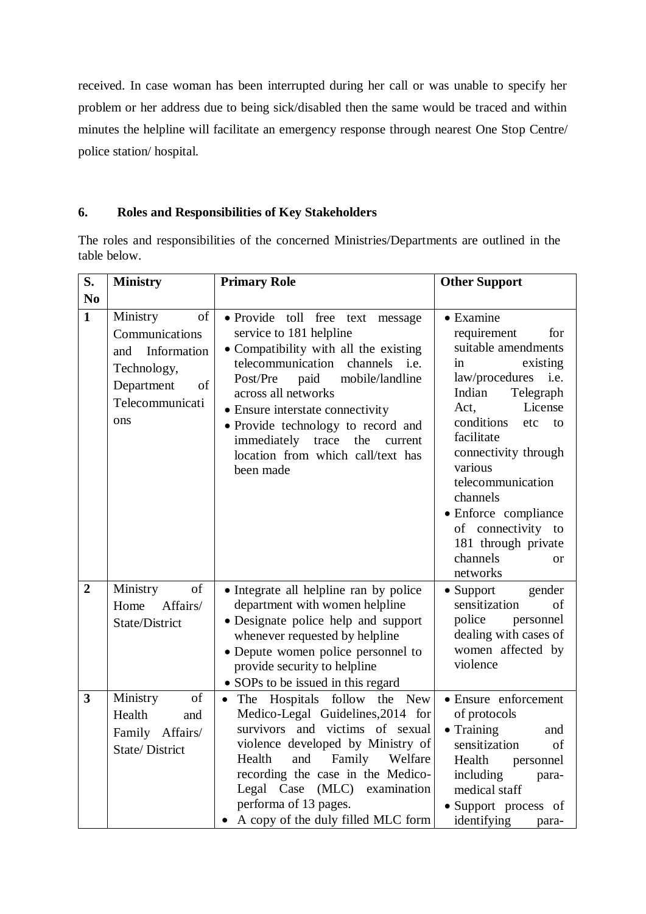received. In case woman has been interrupted during her call or was unable to specify her problem or her address due to being sick/disabled then the same would be traced and within minutes the helpline will facilitate an emergency response through nearest One Stop Centre/ police station/ hospital.

## **6. Roles and Responsibilities of Key Stakeholders**

The roles and responsibilities of the concerned Ministries/Departments are outlined in the table below.

| S.             | <b>Ministry</b>                                                                                                     | <b>Primary Role</b>                                                                                                                                                                                                                                                                                                                                                            | <b>Other Support</b>                                                                                                                                                                                                                                                                                                                                                            |  |
|----------------|---------------------------------------------------------------------------------------------------------------------|--------------------------------------------------------------------------------------------------------------------------------------------------------------------------------------------------------------------------------------------------------------------------------------------------------------------------------------------------------------------------------|---------------------------------------------------------------------------------------------------------------------------------------------------------------------------------------------------------------------------------------------------------------------------------------------------------------------------------------------------------------------------------|--|
| No             |                                                                                                                     |                                                                                                                                                                                                                                                                                                                                                                                |                                                                                                                                                                                                                                                                                                                                                                                 |  |
| $\mathbf{1}$   | of<br>Ministry<br>Communications<br>Information<br>and<br>Technology,<br>Department<br>of<br>Telecommunicati<br>ons | · Provide toll free text<br>message<br>service to 181 helpline<br>• Compatibility with all the existing<br>telecommunication channels<br>i.e.<br>Post/Pre<br>paid<br>mobile/landline<br>across all networks<br>• Ensure interstate connectivity<br>• Provide technology to record and<br>immediately trace<br>the<br>current<br>location from which call/text has<br>been made | $\bullet$ Examine<br>requirement<br>for<br>suitable amendments<br>existing<br>in<br>law/procedures<br>i.e.<br>Telegraph<br>Indian<br>License<br>Act,<br>conditions<br>etc<br>to<br>facilitate<br>connectivity through<br>various<br>telecommunication<br>channels<br>• Enforce compliance<br>of connectivity to<br>181 through private<br>channels<br><sub>or</sub><br>networks |  |
| $\overline{2}$ | Ministry<br>of<br>Affairs/<br>Home<br>State/District<br>of                                                          | • Integrate all helpline ran by police<br>department with women helpline<br>• Designate police help and support<br>whenever requested by helpline<br>• Depute women police personnel to<br>provide security to helpline<br>• SOPs to be issued in this regard                                                                                                                  | $\bullet$ Support<br>gender<br>sensitization<br>of<br>police<br>personnel<br>dealing with cases of<br>women affected by<br>violence                                                                                                                                                                                                                                             |  |
| $\mathbf{3}$   | Ministry<br>Health<br>and<br>Family Affairs/<br><b>State/District</b>                                               | The Hospitals follow the New<br>$\bullet$<br>Medico-Legal Guidelines, 2014 for<br>survivors and victims of sexual<br>violence developed by Ministry of<br>Family Welfare<br>and<br>Health<br>recording the case in the Medico-<br>Legal Case (MLC) examination<br>performa of 13 pages.<br>A copy of the duly filled MLC form                                                  | • Ensure enforcement<br>of protocols<br>$\bullet$ Training<br>and<br>sensitization<br>of<br>Health<br>personnel<br>including<br>para-<br>medical staff<br>• Support process of<br>identifying<br>para-                                                                                                                                                                          |  |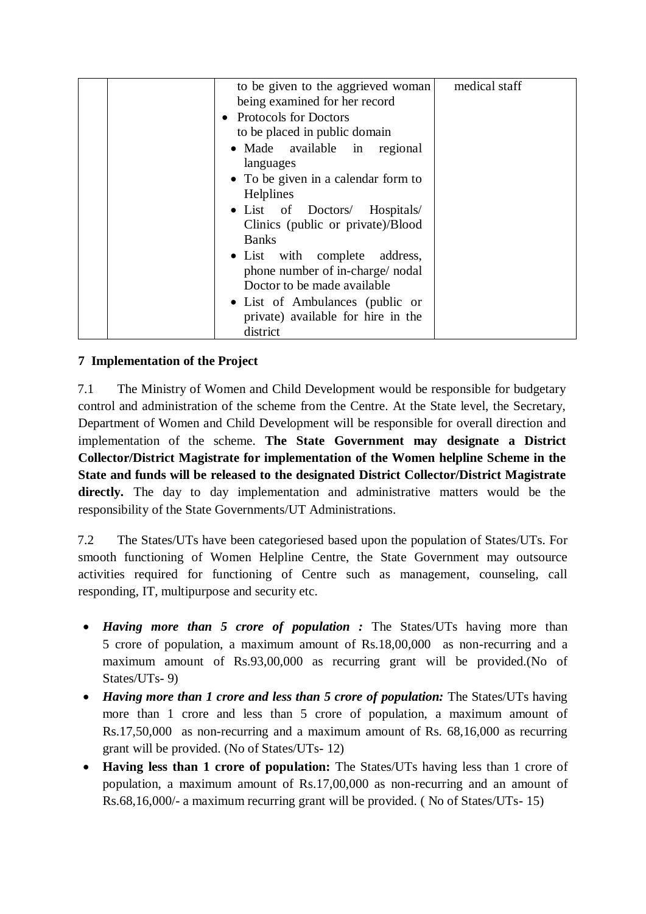| to be given to the aggrieved woman<br>being examined for her record | medical staff |
|---------------------------------------------------------------------|---------------|
|                                                                     |               |
| • Protocols for Doctors                                             |               |
| to be placed in public domain                                       |               |
| · Made available in regional                                        |               |
| languages                                                           |               |
| • To be given in a calendar form to                                 |               |
| Helplines                                                           |               |
| · List of Doctors/ Hospitals/                                       |               |
| Clinics (public or private)/Blood                                   |               |
| <b>Banks</b>                                                        |               |
| • List with complete address,                                       |               |
| phone number of in-charge/nodal                                     |               |
| Doctor to be made available                                         |               |
| • List of Ambulances (public or                                     |               |
| private) available for hire in the                                  |               |
| district                                                            |               |

## **7 Implementation of the Project**

7.1 The Ministry of Women and Child Development would be responsible for budgetary control and administration of the scheme from the Centre. At the State level, the Secretary, Department of Women and Child Development will be responsible for overall direction and implementation of the scheme. **The State Government may designate a District Collector/District Magistrate for implementation of the Women helpline Scheme in the State and funds will be released to the designated District Collector/District Magistrate**  directly. The day to day implementation and administrative matters would be the responsibility of the State Governments/UT Administrations.

7.2 The States/UTs have been categoriesed based upon the population of States/UTs. For smooth functioning of Women Helpline Centre, the State Government may outsource activities required for functioning of Centre such as management, counseling, call responding, IT, multipurpose and security etc.

- *Having more than 5 crore of population :* The States/UTs having more than 5 crore of population, a maximum amount of Rs.18,00,000 as non-recurring and a maximum amount of Rs.93,00,000 as recurring grant will be provided.(No of States/UTs- 9)
- *Having more than 1 crore and less than 5 crore of population:* The States/UTs having more than 1 crore and less than 5 crore of population, a maximum amount of Rs.17,50,000 as non-recurring and a maximum amount of Rs. 68,16,000 as recurring grant will be provided. (No of States/UTs- 12)
- **Having less than 1 crore of population:** The States/UTs having less than 1 crore of population, a maximum amount of Rs.17,00,000 as non-recurring and an amount of Rs.68,16,000/- a maximum recurring grant will be provided. ( No of States/UTs- 15)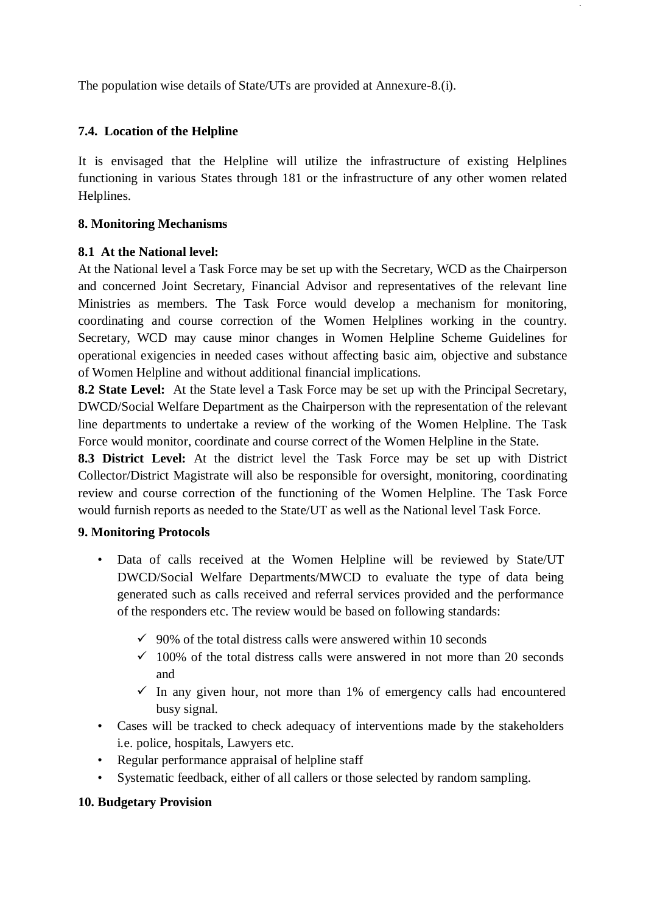The population wise details of State/UTs are provided at Annexure-8.(i).

### **7.4. Location of the Helpline**

It is envisaged that the Helpline will utilize the infrastructure of existing Helplines functioning in various States through 181 or the infrastructure of any other women related Helplines.

#### **8. Monitoring Mechanisms**

#### **8.1 At the National level:**

At the National level a Task Force may be set up with the Secretary, WCD as the Chairperson and concerned Joint Secretary, Financial Advisor and representatives of the relevant line Ministries as members. The Task Force would develop a mechanism for monitoring, coordinating and course correction of the Women Helplines working in the country. Secretary, WCD may cause minor changes in Women Helpline Scheme Guidelines for operational exigencies in needed cases without affecting basic aim, objective and substance of Women Helpline and without additional financial implications.

**8.2 State Level:** At the State level a Task Force may be set up with the Principal Secretary, DWCD/Social Welfare Department as the Chairperson with the representation of the relevant line departments to undertake a review of the working of the Women Helpline. The Task Force would monitor, coordinate and course correct of the Women Helpline in the State.

**8.3 District Level:** At the district level the Task Force may be set up with District Collector/District Magistrate will also be responsible for oversight, monitoring, coordinating review and course correction of the functioning of the Women Helpline. The Task Force would furnish reports as needed to the State/UT as well as the National level Task Force.

### **9. Monitoring Protocols**

- Data of calls received at the Women Helpline will be reviewed by State/UT DWCD/Social Welfare Departments/MWCD to evaluate the type of data being generated such as calls received and referral services provided and the performance of the responders etc. The review would be based on following standards:
	- $\checkmark$  90% of the total distress calls were answered within 10 seconds
	- $\checkmark$  100% of the total distress calls were answered in not more than 20 seconds and
	- $\checkmark$  In any given hour, not more than 1% of emergency calls had encountered busy signal.
- Cases will be tracked to check adequacy of interventions made by the stakeholders i.e. police, hospitals, Lawyers etc.
- Regular performance appraisal of helpline staff
- Systematic feedback, either of all callers or those selected by random sampling.

### **10. Budgetary Provision**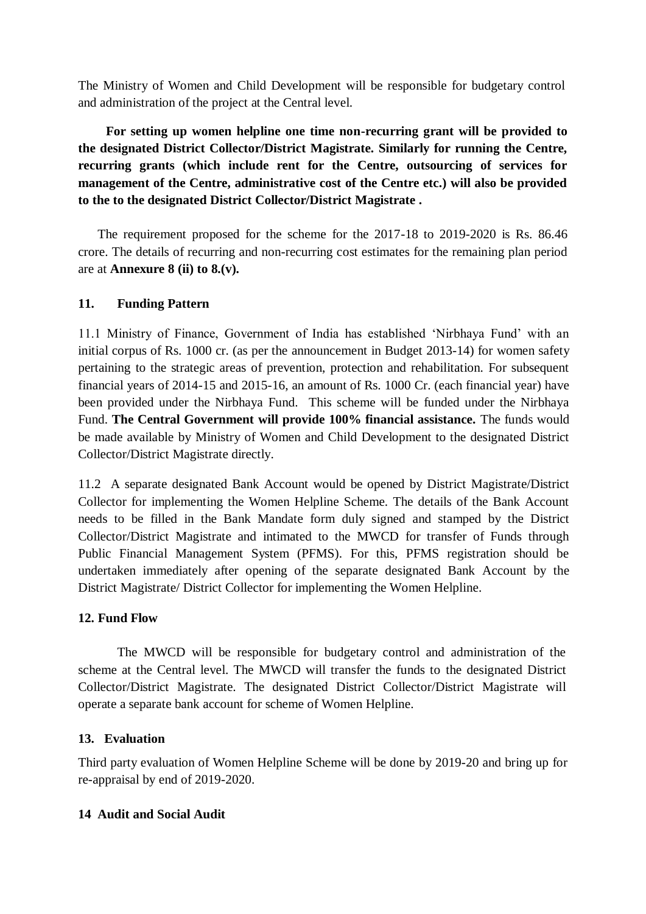The Ministry of Women and Child Development will be responsible for budgetary control and administration of the project at the Central level.

 **For setting up women helpline one time non-recurring grant will be provided to the designated District Collector/District Magistrate. Similarly for running the Centre, recurring grants (which include rent for the Centre, outsourcing of services for management of the Centre, administrative cost of the Centre etc.) will also be provided to the to the designated District Collector/District Magistrate .** 

The requirement proposed for the scheme for the 2017-18 to 2019-2020 is Rs. 86.46 crore. The details of recurring and non-recurring cost estimates for the remaining plan period are at **Annexure 8 (ii) to 8.(v).**

## **11. Funding Pattern**

11.1 Ministry of Finance, Government of India has established 'Nirbhaya Fund' with an initial corpus of Rs. 1000 cr. (as per the announcement in Budget 2013-14) for women safety pertaining to the strategic areas of prevention, protection and rehabilitation. For subsequent financial years of 2014-15 and 2015-16, an amount of Rs. 1000 Cr. (each financial year) have been provided under the Nirbhaya Fund. This scheme will be funded under the Nirbhaya Fund. **The Central Government will provide 100% financial assistance.** The funds would be made available by Ministry of Women and Child Development to the designated District Collector/District Magistrate directly.

11.2 A separate designated Bank Account would be opened by District Magistrate/District Collector for implementing the Women Helpline Scheme. The details of the Bank Account needs to be filled in the Bank Mandate form duly signed and stamped by the District Collector/District Magistrate and intimated to the MWCD for transfer of Funds through Public Financial Management System (PFMS). For this, PFMS registration should be undertaken immediately after opening of the separate designated Bank Account by the District Magistrate/ District Collector for implementing the Women Helpline.

### **12. Fund Flow**

The MWCD will be responsible for budgetary control and administration of the scheme at the Central level. The MWCD will transfer the funds to the designated District Collector/District Magistrate. The designated District Collector/District Magistrate will operate a separate bank account for scheme of Women Helpline.

### **13. Evaluation**

Third party evaluation of Women Helpline Scheme will be done by 2019-20 and bring up for re-appraisal by end of 2019-2020.

### **14 Audit and Social Audit**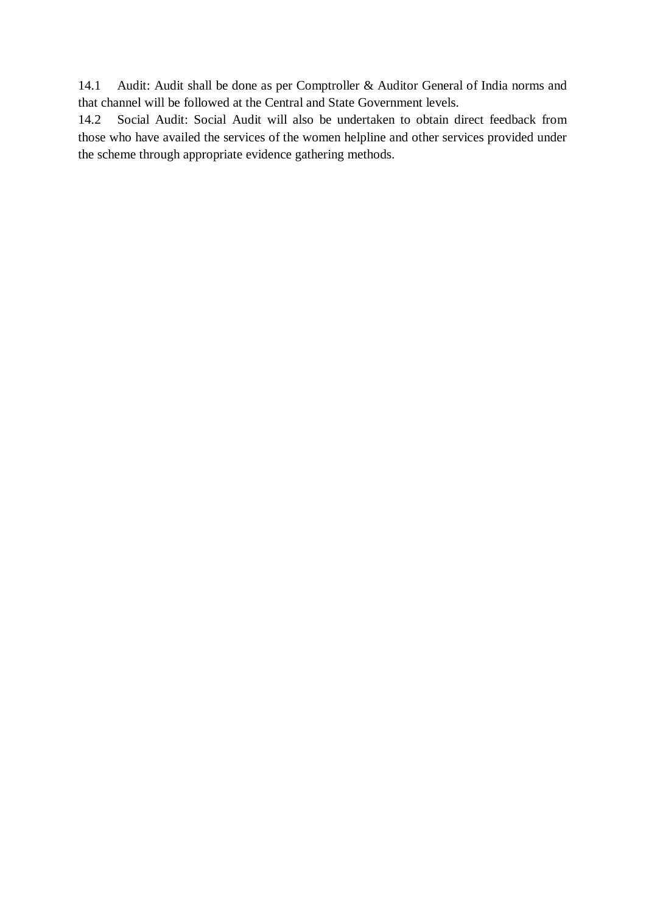14.1 Audit: Audit shall be done as per Comptroller & Auditor General of India norms and that channel will be followed at the Central and State Government levels.

14.2 Social Audit: Social Audit will also be undertaken to obtain direct feedback from those who have availed the services of the women helpline and other services provided under the scheme through appropriate evidence gathering methods.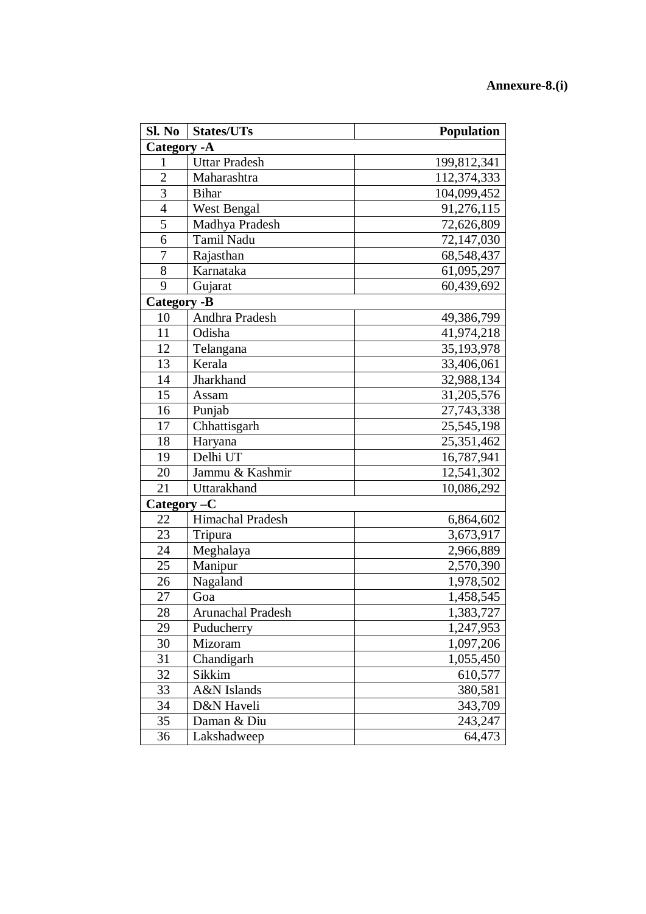#### **Annexure -8.(i)**

| Sl. No             | <b>States/UTs</b>    | <b>Population</b>          |  |  |
|--------------------|----------------------|----------------------------|--|--|
| Category - A       |                      |                            |  |  |
| 1                  | <b>Uttar Pradesh</b> | 199,812,341                |  |  |
| $\overline{2}$     | Maharashtra          | 112,374,333                |  |  |
| 3                  | <b>Bihar</b>         | 104,099,452                |  |  |
| $\overline{4}$     | <b>West Bengal</b>   | 91,276,115                 |  |  |
| 5                  | Madhya Pradesh       | 72,626,809                 |  |  |
| 6                  | Tamil Nadu           | 72,147,030                 |  |  |
| 7                  | Rajasthan            | 68,548,437                 |  |  |
| 8                  | Karnataka            | 61,095,297                 |  |  |
| 9                  | Gujarat              | 60,439,692                 |  |  |
| <b>Category -B</b> |                      |                            |  |  |
| 10                 | Andhra Pradesh       | 49,386,799                 |  |  |
| 11                 | Odisha               | 41,974,218                 |  |  |
| 12                 | Telangana            | 35, 193, 978               |  |  |
| 13                 | Kerala               | 33,406,061                 |  |  |
| 14                 | Jharkhand            | 32,988,134                 |  |  |
| 15                 | Assam                | 31,205,576                 |  |  |
| 16                 | Punjab               | 27,743,338                 |  |  |
| 17                 | Chhattisgarh         | 25,545,198                 |  |  |
| 18                 | Haryana              | 25,351,462                 |  |  |
| 19                 | Delhi UT             | $\overline{16}$ , 787, 941 |  |  |
| 20                 | Jammu & Kashmir      | 12,541,302                 |  |  |
| 21                 | Uttarakhand          | 10,086,292                 |  |  |
| Category-C         |                      |                            |  |  |
| 22                 | Himachal Pradesh     | 6,864,602                  |  |  |
| 23                 | Tripura              | 3,673,917                  |  |  |
| 24                 | Meghalaya            | 2,966,889                  |  |  |
| 25                 | Manipur              | 2,570,390                  |  |  |
| 26                 | Nagaland             | 1,978,502                  |  |  |
| 27                 | Goa                  | 1,458,545                  |  |  |
| 28                 | Arunachal Pradesh    | 1,383,727                  |  |  |
| 29                 | Puducherry           | 1,247,953                  |  |  |
| 30                 | Mizoram              | 1,097,206                  |  |  |
| 31                 | Chandigarh           | 1,055,450                  |  |  |
| 32                 | Sikkim               | 610,577                    |  |  |
| 33                 | A&N Islands          | 380,581                    |  |  |
| 34                 | D&N Haveli           | 343,709                    |  |  |
| 35                 | Daman & Diu          | 243,247                    |  |  |
| 36                 | Lakshadweep          | 64,473                     |  |  |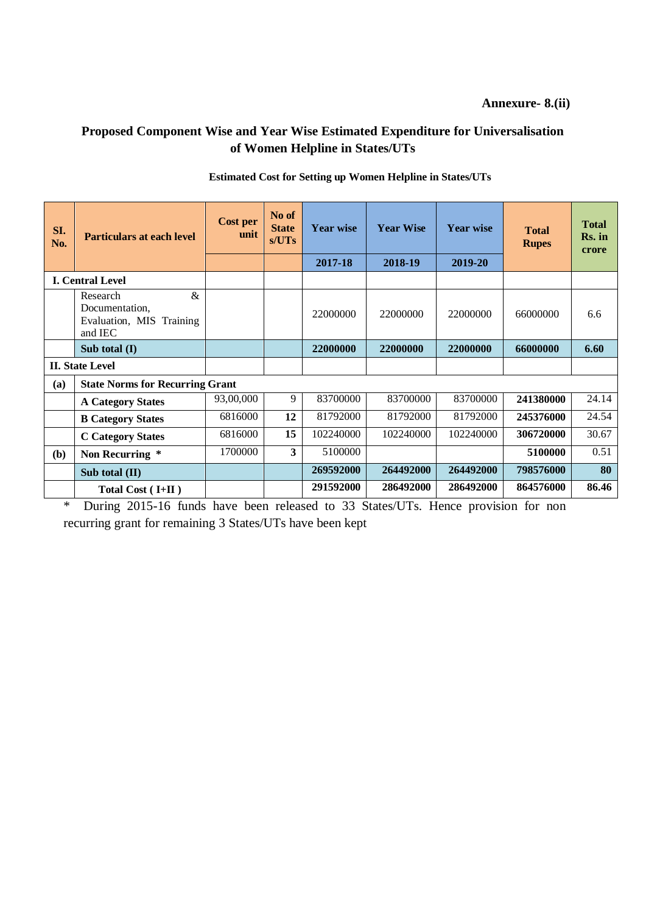**Annexure- 8.(ii)**

## **Proposed Component Wise and Year Wise Estimated Expenditure for Universalisation of Women Helpline in States/UTs**

| SI.<br>No.             | <b>Particulars at each level</b>                                          | <b>Cost per</b><br>unit | No of<br><b>State</b><br>s/UTs | <b>Year wise</b> | <b>Year Wise</b> | <b>Year wise</b> | <b>Total</b><br><b>Rupes</b> | <b>Total</b><br>Rs. in<br>crore |
|------------------------|---------------------------------------------------------------------------|-------------------------|--------------------------------|------------------|------------------|------------------|------------------------------|---------------------------------|
|                        |                                                                           |                         |                                | 2017-18          | 2018-19          | 2019-20          |                              |                                 |
|                        | <b>I. Central Level</b>                                                   |                         |                                |                  |                  |                  |                              |                                 |
|                        | $\&$<br>Research<br>Documentation,<br>Evaluation, MIS Training<br>and IEC |                         |                                | 22000000         | 22000000         | 22000000         | 66000000                     | 6.6                             |
|                        | Sub total (I)                                                             |                         |                                | 22000000         | 22000000         | 22000000         | 66000000                     | 6.60                            |
| <b>II. State Level</b> |                                                                           |                         |                                |                  |                  |                  |                              |                                 |
| (a)                    | <b>State Norms for Recurring Grant</b>                                    |                         |                                |                  |                  |                  |                              |                                 |
|                        | <b>A Category States</b>                                                  | 93,00,000               | 9                              | 83700000         | 83700000         | 83700000         | 241380000                    | 24.14                           |
|                        | <b>B Category States</b>                                                  | 6816000                 | 12                             | 81792000         | 81792000         | 81792000         | 245376000                    | 24.54                           |
|                        | <b>C</b> Category States                                                  | 6816000                 | 15                             | 102240000        | 102240000        | 102240000        | 306720000                    | 30.67                           |
| (b)                    | Non Recurring *                                                           | 1700000                 | 3                              | 5100000          |                  |                  | 5100000                      | 0.51                            |
|                        | Sub total (II)                                                            |                         |                                | 269592000        | 264492000        | 264492000        | 798576000                    | 80                              |
|                        | Total Cost $( I+II )$                                                     |                         |                                | 291592000        | 286492000        | 286492000        | 864576000                    | 86.46                           |

#### **Estimated Cost for Setting up Women Helpline in States/UTs**

\* During 2015-16 funds have been released to 33 States/UTs. Hence provision for non recurring grant for remaining 3 States/UTs have been kept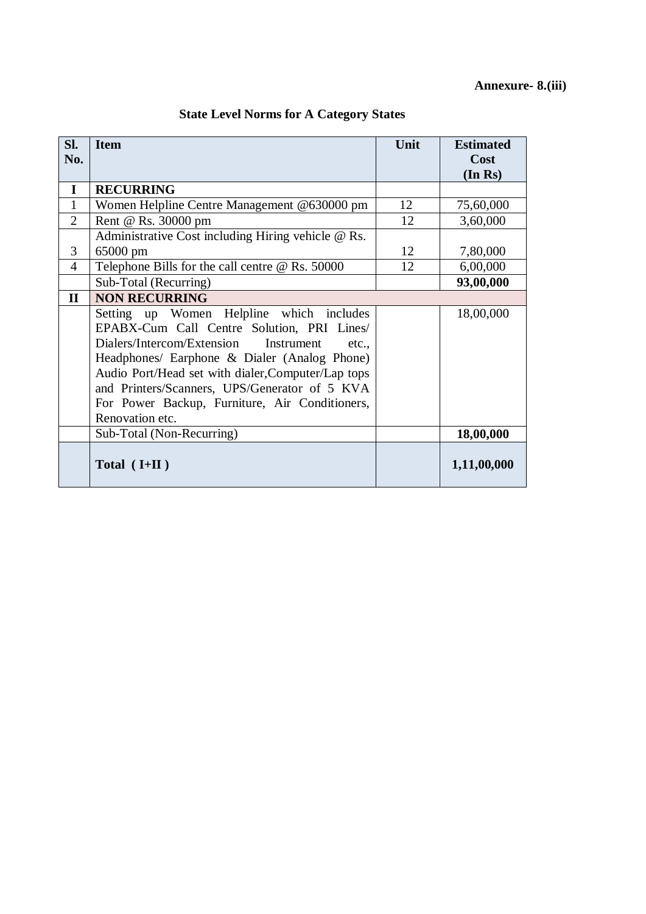| Sl.<br>No.     | <b>Item</b>                                            | Unit | <b>Estimated</b><br>Cost |
|----------------|--------------------------------------------------------|------|--------------------------|
|                |                                                        |      | (In Rs)                  |
| I              | <b>RECURRING</b>                                       |      |                          |
| $\mathbf{1}$   | Women Helpline Centre Management @630000 pm            | 12   | 75,60,000                |
| $\overline{2}$ | Rent @ Rs. 30000 pm                                    | 12   | 3,60,000                 |
|                | Administrative Cost including Hiring vehicle @ Rs.     |      |                          |
| 3              | 65000 pm                                               | 12   | 7,80,000                 |
| $\overline{4}$ | Telephone Bills for the call centre $\omega$ Rs. 50000 | 12   | 6,00,000                 |
|                | Sub-Total (Recurring)                                  |      | 93,00,000                |
| $\mathbf{I}$   | <b>NON RECURRING</b>                                   |      |                          |
|                | Setting up Women Helpline which includes               |      | 18,00,000                |
|                | EPABX-Cum Call Centre Solution, PRI Lines/             |      |                          |
|                | Dialers/Intercom/Extension<br>Instrument<br>etc.,      |      |                          |
|                | Headphones/ Earphone & Dialer (Analog Phone)           |      |                          |
|                | Audio Port/Head set with dialer, Computer/Lap tops     |      |                          |
|                | and Printers/Scanners, UPS/Generator of 5 KVA          |      |                          |
|                | For Power Backup, Furniture, Air Conditioners,         |      |                          |
|                | Renovation etc.                                        |      |                          |
|                | Sub-Total (Non-Recurring)                              |      | 18,00,000                |
|                | Total $(I+II)$                                         |      | 1,11,00,000              |

## **State Level Norms for A Category States**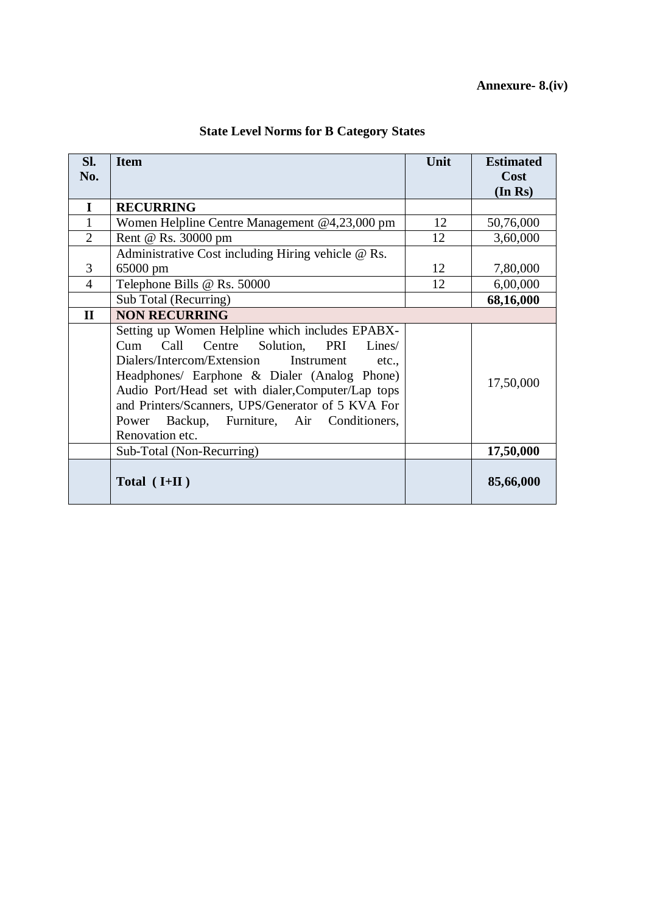| SI.            | <b>Item</b>                                                                                                                                                                                                                                                                                                                                                           | Unit | <b>Estimated</b> |
|----------------|-----------------------------------------------------------------------------------------------------------------------------------------------------------------------------------------------------------------------------------------------------------------------------------------------------------------------------------------------------------------------|------|------------------|
| No.            |                                                                                                                                                                                                                                                                                                                                                                       |      | Cost             |
|                |                                                                                                                                                                                                                                                                                                                                                                       |      | (In Rs)          |
| I              | <b>RECURRING</b>                                                                                                                                                                                                                                                                                                                                                      |      |                  |
| 1              | Women Helpline Centre Management @4,23,000 pm                                                                                                                                                                                                                                                                                                                         | 12   | 50,76,000        |
| $\overline{2}$ | Rent @ Rs. 30000 pm                                                                                                                                                                                                                                                                                                                                                   | 12   | 3,60,000         |
|                | Administrative Cost including Hiring vehicle @ Rs.                                                                                                                                                                                                                                                                                                                    |      |                  |
| 3              | 65000 pm                                                                                                                                                                                                                                                                                                                                                              | 12   | 7,80,000         |
| $\overline{4}$ | Telephone Bills @ Rs. 50000                                                                                                                                                                                                                                                                                                                                           | 12   | 6,00,000         |
|                | Sub Total (Recurring)                                                                                                                                                                                                                                                                                                                                                 |      | 68,16,000        |
| $\mathbf{I}$   | <b>NON RECURRING</b>                                                                                                                                                                                                                                                                                                                                                  |      |                  |
|                | Setting up Women Helpline which includes EPABX-<br>Cum Call Centre Solution, PRI Lines/<br>Dialers/Intercom/Extension Instrument<br>etc.,<br>Headphones/ Earphone & Dialer (Analog Phone)<br>Audio Port/Head set with dialer, Computer/Lap tops<br>and Printers/Scanners, UPS/Generator of 5 KVA For<br>Power Backup, Furniture, Air Conditioners,<br>Renovation etc. |      | 17,50,000        |
|                | Sub-Total (Non-Recurring)                                                                                                                                                                                                                                                                                                                                             |      | 17,50,000        |
|                | Total $(H+II)$                                                                                                                                                                                                                                                                                                                                                        |      | 85,66,000        |

# **State Level Norms for B Category States**